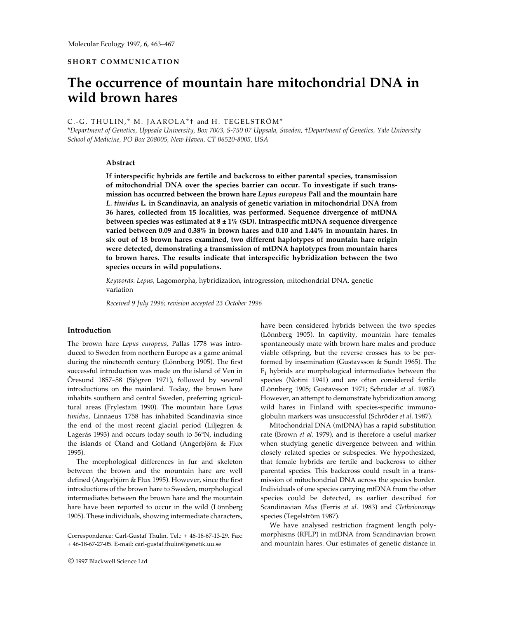# **SHORT COMMUNICATION**

# **The occurrence of mountain hare mitochondrial DNA in wild brown hares**

#### C.-G. THULIN,\* M. JAAROLA\*+ and H. TEGELSTRÖM\*

\**Department of Genetics, Uppsala University, Box 7003, S-750 07 Uppsala, Sweden,* †*Department of Genetics, Yale University School of Medicine, PO Box 208005, New Haven, CT 06520-8005, USA*

#### **Abstract**

**If interspecific hybrids are fertile and backcross to either parental species, transmission of mitochondrial DNA over the species barrier can occur. To investigate if such transmission has occurred between the brown hare** *Lepus europeus* **Pall and the mountain hare** *L. timidus* **L. in Scandinavia, an analysis of genetic variation in mitochondrial DNA from 36 hares, collected from 15 localities, was performed. Sequence divergence of mtDNA between species was estimated at 8 ± 1% (SD). Intraspecific mtDNA sequence divergence varied between 0.09 and 0.38% in brown hares and 0.10 and 1.44% in mountain hares. In six out of 18 brown hares examined, two different haplotypes of mountain hare origin were detected, demonstrating a transmission of mtDNA haplotypes from mountain hares to brown hares. The results indicate that interspecific hybridization between the two species occurs in wild populations.**

*Keywords*: *Lepus*, Lagomorpha, hybridization, introgression, mitochondrial DNA, genetic variation

*Received 9 July 1996; revision accepted 23 October 1996*

#### **Introduction**

The brown hare *Lepus europeus*, Pallas 1778 was introduced to Sweden from northern Europe as a game animal during the nineteenth century (Lönnberg 1905). The first successful introduction was made on the island of Ven in Öresund 1857–58 (Sjögren 1971), followed by several introductions on the mainland. Today, the brown hare inhabits southern and central Sweden, preferring agricultural areas (Frylestam 1990). The mountain hare *Lepus timidus*, Linnaeus 1758 has inhabited Scandinavia since the end of the most recent glacial period (Liljegren & Lagerås 1993) and occurs today south to 56°N, including the islands of Öland and Gotland (Angerbjörn & Flux 1995).

The morphological differences in fur and skeleton between the brown and the mountain hare are well defined (Angerbjörn & Flux 1995). However, since the first introductions of the brown hare to Sweden, morphological intermediates between the brown hare and the mountain hare have been reported to occur in the wild (Lönnberg 1905). These individuals, showing intermediate characters,

© 1997 Blackwell Science Ltd

have been considered hybrids between the two species (Lönnberg 1905). In captivity, mountain hare females spontaneously mate with brown hare males and produce viable offspring, but the reverse crosses has to be performed by insemination (Gustavsson & Sundt 1965). The  $F_1$  hybrids are morphological intermediates between the species (Notini 1941) and are often considered fertile (Lönnberg 1905; Gustavsson 1971; Schröder *et al*. 1987). However, an attempt to demonstrate hybridization among wild hares in Finland with species-specific immunoglobulin markers was unsuccessful (Schröder *et al*. 1987).

Mitochondrial DNA (mtDNA) has a rapid substitution rate (Brown *et al*. 1979), and is therefore a useful marker when studying genetic divergence between and within closely related species or subspecies. We hypothesized, that female hybrids are fertile and backcross to either parental species. This backcross could result in a transmission of mitochondrial DNA across the species border. Individuals of one species carrying mtDNA from the other species could be detected, as earlier described for Scandinavian *Mus* (Ferris *et al*. 1983) and *Clethrionomys* species (Tegelström 1987).

We have analysed restriction fragment length polymorphisms (RFLP) in mtDNA from Scandinavian brown and mountain hares. Our estimates of genetic distance in

Correspondence: Carl-Gustaf Thulin. Tel.: + 46-18-67-13-29. Fax: + 46-18-67-27-05. E-mail: carl-gustaf.thulin@genetik.uu.se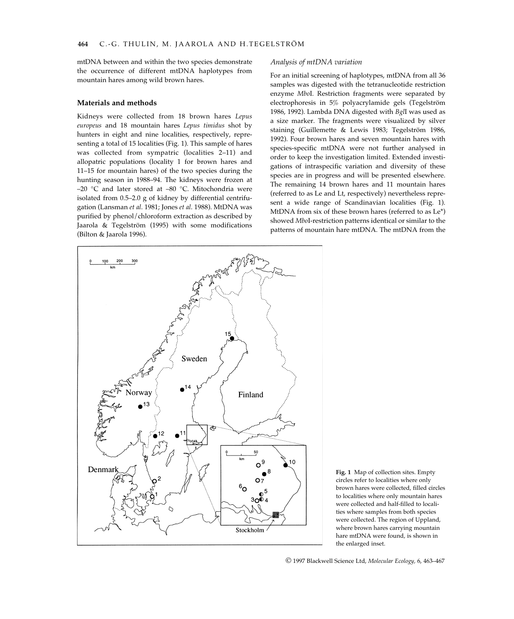mtDNA between and within the two species demonstrate the occurrence of different mtDNA haplotypes from mountain hares among wild brown hares.

#### **Materials and methods**

Kidneys were collected from 18 brown hares *Lepus europeus* and 18 mountain hares *Lepus timidus* shot by hunters in eight and nine localities, respectively, representing a total of 15 localities (Fig. 1). This sample of hares was collected from sympatric (localities 2–11) and allopatric populations (locality 1 for brown hares and 11–15 for mountain hares) of the two species during the hunting season in 1988–94. The kidneys were frozen at –20 °C and later stored at –80 °C. Mitochondria were isolated from 0.5–2.0 g of kidney by differential centrifugation (Lansman *et al*. 1981; Jones *et al*. 1988). MtDNA was purified by phenol/chloroform extraction as described by Jaarola & Tegelström (1995) with some modifications (Bilton & Jaarola 1996).

# *Analysis of mtDNA variation*

For an initial screening of haplotypes, mtDNA from all 36 samples was digested with the tetranucleotide restriction enzyme *Mbo*I. Restriction fragments were separated by electrophoresis in 5% polyacrylamide gels (Tegelström 1986, 1992). Lambda DNA digested with *Bgl*I was used as a size marker. The fragments were visualized by silver staining (Guillemette & Lewis 1983; Tegelström 1986, 1992). Four brown hares and seven mountain hares with species-specific mtDNA were not further analysed in order to keep the investigation limited. Extended investigations of intraspecific variation and diversity of these species are in progress and will be presented elsewhere. The remaining 14 brown hares and 11 mountain hares (referred to as Le and Lt, respectively) nevertheless represent a wide range of Scandinavian localities (Fig. 1). MtDNA from six of these brown hares (referred to as Le\*) showed *Mbo*I-restriction patterns identical or similar to the patterns of mountain hare mtDNA. The mtDNA from the





© 1997 Blackwell Science Ltd, *Molecular Ecology,* 6, 463–467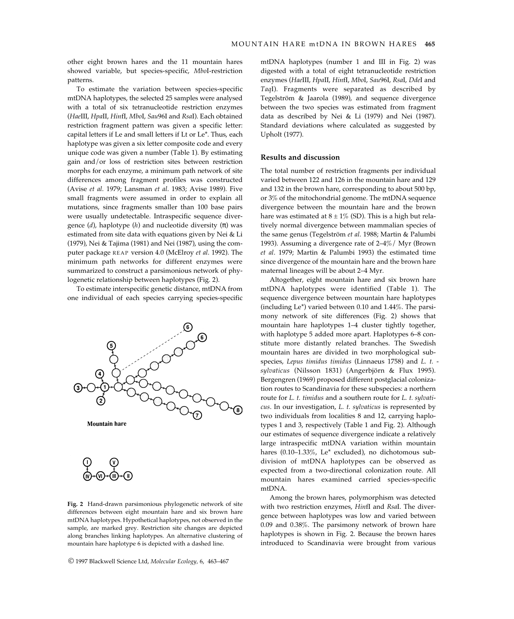other eight brown hares and the 11 mountain hares showed variable, but species-specific, *Mbo*I-restriction patterns.

To estimate the variation between species-specific mtDNA haplotypes, the selected 25 samples were analysed with a total of six tetranucleotide restriction enzymes (*Hae*III, *Hpa*II, *Hin*fI, *Mbo*I, *Sau*96I and *Rsa*I). Each obtained restriction fragment pattern was given a specific letter: capital letters if Le and small letters if Lt or Le\*. Thus, each haplotype was given a six letter composite code and every unique code was given a number (Table 1). By estimating gain and/or loss of restriction sites between restriction morphs for each enzyme, a minimum path network of site differences among fragment profiles was constructed (Avise *et al*. 1979; Lansman *et al*. 1983; Avise 1989). Five small fragments were assumed in order to explain all mutations, since fragments smaller than 100 base pairs were usually undetectable. Intraspecific sequence divergence (*d*), haplotype (*h*) and nucleotide diversity (π) was estimated from site data with equations given by Nei & Li (1979), Nei & Tajima (1981) and Nei (1987), using the computer package REAP version 4.0 (McElroy *et al*. 1992). The minimum path networks for different enzymes were summarized to construct a parsimonious network of phylogenetic relationship between haplotypes (Fig. 2).

To estimate interspecific genetic distance, mtDNA from one individual of each species carrying species-specific





**Fig. 2** Hand-drawn parsimonious phylogenetic network of site differences between eight mountain hare and six brown hare mtDNA haplotypes. Hypothetical haplotypes, not observed in the sample, are marked grey. Restriction site changes are depicted along branches linking haplotypes. An alternative clustering of mountain hare haplotype 6 is depicted with a dashed line.

© 1997 Blackwell Science Ltd, *Molecular Ecology,* 6, 463–467

mtDNA haplotypes (number 1 and III in Fig. 2) was digested with a total of eight tetranucleotide restriction enzymes (*Hae*III, *Hpa*II, *Hin*fI, *Mbo*I, *Sau*96I, *Rsa*I, *Dde*I and *Taq*I). Fragments were separated as described by Tegelström & Jaarola (1989), and sequence divergence between the two species was estimated from fragment data as described by Nei & Li (1979) and Nei (1987). Standard deviations where calculated as suggested by Upholt (1977).

## **Results and discussion**

The total number of restriction fragments per individual varied between 122 and 126 in the mountain hare and 129 and 132 in the brown hare, corresponding to about 500 bp, or 3% of the mitochondrial genome. The mtDNA sequence divergence between the mountain hare and the brown hare was estimated at  $8 \pm 1\%$  (SD). This is a high but relatively normal divergence between mammalian species of the same genus (Tegelström *et al*. 1988; Martin & Palumbi 1993). Assuming a divergence rate of 2–4%/ Myr (Brown *et al*. 1979; Martin & Palumbi 1993) the estimated time since divergence of the mountain hare and the brown hare maternal lineages will be about 2–4 Myr.

Altogether, eight mountain hare and six brown hare mtDNA haplotypes were identified (Table 1). The sequence divergence between mountain hare haplotypes (including Le\*) varied between 0.10 and 1.44%. The parsimony network of site differences (Fig. 2) shows that mountain hare haplotypes 1–4 cluster tightly together, with haplotype 5 added more apart. Haplotypes 6–8 constitute more distantly related branches. The Swedish mountain hares are divided in two morphological subspecies, *Lepus timidus timidus* (Linnaeus 1758) and *L. t. sylvaticus* (Nilsson 1831) (Angerbjörn & Flux 1995). Bergengren (1969) proposed different postglacial colonization routes to Scandinavia for these subspecies: a northern route for *L. t. timidus* and a southern route for *L. t. sylvaticus*. In our investigation, *L. t. sylvaticus* is represented by two individuals from localities 8 and 12, carrying haplotypes 1 and 3, respectively (Table 1 and Fig. 2). Although our estimates of sequence divergence indicate a relatively large intraspecific mtDNA variation within mountain hares (0.10–1.33%, Le\* excluded), no dichotomous subdivision of mtDNA haplotypes can be observed as expected from a two-directional colonization route. All mountain hares examined carried species-specific mtDNA.

Among the brown hares, polymorphism was detected with two restriction enzymes, *Hin*fI and *Rsa*I. The divergence between haplotypes was low and varied between 0.09 and 0.38%. The parsimony network of brown hare haplotypes is shown in Fig. 2. Because the brown hares introduced to Scandinavia were brought from various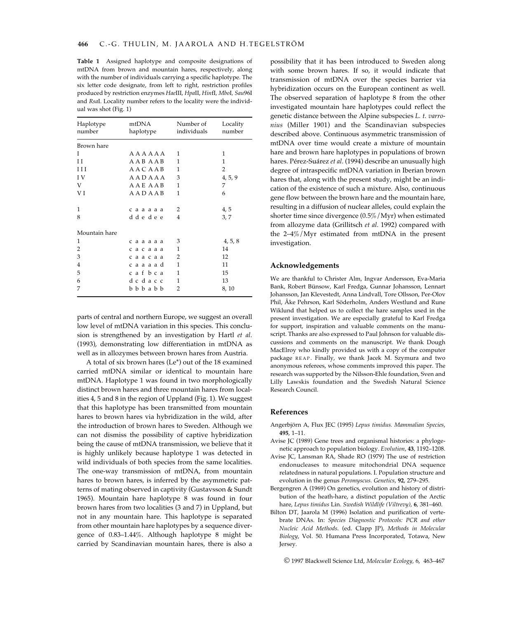**Table 1** Assigned haplotype and composite designations of mtDNA from brown and mountain hares, respectively, along with the number of individuals carrying a specific haplotype. The six letter code designate, from left to right, restriction profiles produced by restriction enzymes *Hae*III, *Hpa*II, *Hin*fI*, Mbo*I*, Sau*96I and *Rsa*I. Locality number refers to the locality were the individual was shot (Fig. 1)

| Haplotype<br>number | mtDNA<br>haplotype      | Number of<br>individuals | Locality<br>number |
|---------------------|-------------------------|--------------------------|--------------------|
| Brown hare          |                         |                          |                    |
| T                   | AAAAAA                  | 1                        | 1                  |
| H                   | AAB AAB                 | 1                        | 1                  |
| $_{\rm III}$        | <b>AACAAB</b>           | 1                        | $\overline{2}$     |
| I V                 | AADAAA                  | 3                        | 4, 5, 9            |
| V                   | AAE AAB                 | 1                        | 7                  |
| V I                 | AADAAB                  | 1                        | 6                  |
| 1                   | сааааа                  | $\overline{2}$           | 4, 5               |
| 8                   | ddedee                  | 4                        | 3, 7               |
| Mountain hare       |                         |                          |                    |
| 1                   | сааааа                  | 3                        | 4, 5, 8            |
| 2                   | сасааа                  | 1                        | 14                 |
| 3                   | саасаа                  | $\overline{2}$           | 12                 |
| 4                   | caaaad                  | 1                        | 11                 |
| 5                   | cafbca                  | 1                        | 15                 |
| 6                   | dcdacc                  | 1                        | 13                 |
| 7                   | $b$ $b$ $b$ $a$ $b$ $b$ | $\overline{2}$           | 8, 10              |

parts of central and northern Europe, we suggest an overall low level of mtDNA variation in this species. This conclusion is strengthened by an investigation by Hartl *et al*. (1993), demonstrating low differentiation in mtDNA as well as in allozymes between brown hares from Austria.

A total of six brown hares (Le\*) out of the 18 examined carried mtDNA similar or identical to mountain hare mtDNA. Haplotype 1 was found in two morphologically distinct brown hares and three mountain hares from localities 4, 5 and 8 in the region of Uppland (Fig. 1). We suggest that this haplotype has been transmitted from mountain hares to brown hares via hybridization in the wild, after the introduction of brown hares to Sweden. Although we can not dismiss the possibility of captive hybridization being the cause of mtDNA transmission, we believe that it is highly unlikely because haplotype 1 was detected in wild individuals of both species from the same localities. The one-way transmission of mtDNA, from mountain hares to brown hares, is inferred by the asymmetric patterns of mating observed in captivity (Gustavsson & Sundt 1965). Mountain hare haplotype 8 was found in four brown hares from two localities (3 and 7) in Uppland, but not in any mountain hare. This haplotype is separated from other mountain hare haplotypes by a sequence divergence of 0.83–1.44%. Although haplotype 8 might be carried by Scandinavian mountain hares, there is also a possibility that it has been introduced to Sweden along with some brown hares. If so, it would indicate that transmission of mtDNA over the species barrier via hybridization occurs on the European continent as well. The observed separation of haplotype 8 from the other investigated mountain hare haplotypes could reflect the genetic distance between the Alpine subspecies *L. t. varronius* (Miller 1901) and the Scandinavian subspecies described above. Continuous asymmetric transmission of mtDNA over time would create a mixture of mountain hare and brown hare haplotypes in populations of brown hares. Pérez-Suárez *et al*. (1994) describe an unusually high degree of intraspecific mtDNA variation in Iberian brown hares that, along with the present study, might be an indication of the existence of such a mixture. Also, continuous gene flow between the brown hare and the mountain hare, resulting in a diffusion of nuclear alleles, could explain the shorter time since divergence (0.5%/Myr) when estimated from allozyme data (Grillitsch *et al*. 1992) compared with the 2–4%/Myr estimated from mtDNA in the present investigation.

#### **Acknowledgements**

We are thankful to Christer Alm, Ingvar Andersson, Eva-Maria Bank, Robert Bünsow, Karl Fredga, Gunnar Johansson, Lennart Johansson, Jan Klevestedt, Anna Lindvall, Tore Ollsson, Per-Olov Phil, Åke Pehrson, Karl Söderholm, Anders Westlund and Rune Wiklund that helped us to collect the hare samples used in the present investigation. We are especially grateful to Karl Fredga for support, inspiration and valuable comments on the manuscript. Thanks are also expressed to Paul Johnson for valuable discussions and comments on the manuscript. We thank Dough MacElroy who kindly provided us with a copy of the computer package REAP. Finally, we thank Jacek M. Szymura and two anonymous referees, whose comments improved this paper. The research was supported by the Nilsson-Ehle foundation, Sven and Lilly Lawskis foundation and the Swedish Natural Science Research Council.

## **References**

- Angerbjörn A, Flux JEC (1995) *Lepus timidus. Mammalian Species*, **495**, 1–11.
- Avise JC (1989) Gene trees and organismal histories: a phylogenetic approach to population biology. *Evolution*, **43**, 1192–1208.
- Avise JC, Lansman RA, Shade RO (1979) The use of restriction endonucleases to measure mitochondrial DNA sequence relatedness in natural populations. I. Population structure and evolution in the genus *Peromyscus. Genetics*, **92**, 279–295.
- Bergengren A (1969) On genetics, evolution and history of distribution of the heath-hare, a distinct population of the Arctic hare, *Lepus timidus* Lin. *Swedish Wildlife (Viltrevy)*, **6**, 381–460.
- Bilton DT, Jaarola M (1996) Isolation and purification of vertebrate DNAs. In: *Species Diagnostic Protocols: PCR and other Nucleic Acid Methods*. (ed. Clapp JP), *Methods in Molecular Biology*, Vol. 50. Humana Press Incorporated, Totawa, New Jersey.

© 1997 Blackwell Science Ltd, *Molecular Ecology,* 6, 463–467